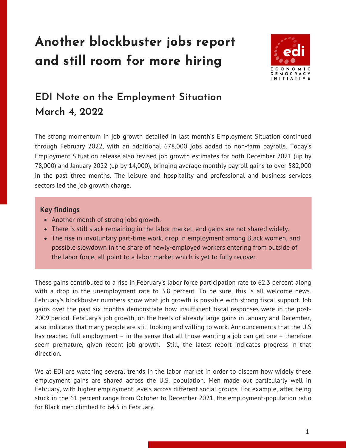# **Another blockbuster jobs report and still room for more hiring**



# **EDI Note on the Employment Situation March 4, 2022**

The strong momentum in job growth detailed in last month's Employment Situation continued through February 2022, with an additional 678,000 jobs added to non-farm payrolls. Today's Employment Situation release also revised job growth estimates for both December 2021 (up by 78,000) and January 2022 (up by 14,000), bringing average monthly payroll gains to over 582,000 in the past three months. The leisure and hospitality and professional and business services sectors led the job growth charge.

### **Key findings**

- Another month of strong jobs growth.
- There is still slack remaining in the labor market, and gains are not shared widely.
- The rise in involuntary part-time work, drop in employment among Black women, and possible slowdown in the share of newly-employed workers entering from outside of the labor force, all point to a labor market which is yet to fully recover.

These gains contributed to a rise in February's labor force participation rate to 62.3 percent along with a drop in the unemployment rate to 3.8 percent. To be sure, this is all welcome news. February's blockbuster numbers show what job growth is possible with strong fiscal support. Job gains over the past six months demonstrate how insufficient fiscal responses were in the post-2009 period. February's job growth, on the heels of already large gains in January and December, also indicates that many people are still looking and willing to work. Announcements that the U.S has reached full employment – in the sense that all those wanting a job can get one – therefore seem premature, given recent job growth. Still, the latest report indicates progress in that direction.

We at EDI are watching several trends in the labor market in order to discern how widely these employment gains are shared across the U.S. population. Men made out particularly well in February, with higher employment levels across different social groups. For example, after being stuck in the 61 percent range from October to December 2021, the employment-population ratio for Black men climbed to 64.5 in February.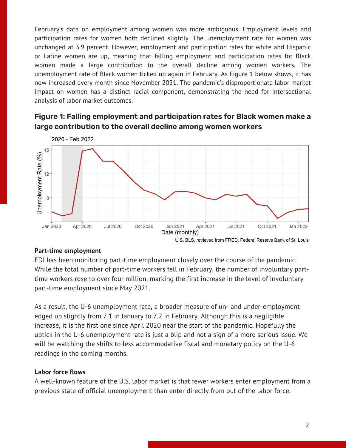February's data on employment among women was more ambiguous. Employment levels and participation rates for women both declined slightly. The unemployment rate for women was unchanged at 3.9 percent. However, employment and participation rates for white and Hispanic or Latine women are up, meaning that falling employment and participation rates for Black women made a large contribution to the overall decline among women workers. The unemployment rate of Black women ticked up again in February. As Figure 1 below shows, it has now increased every month since November 2021. The pandemic's disproportionate labor market impact on women has a distinct racial component, demonstrating the need for intersectional analysis of labor market outcomes.



## **Figure 1: Falling employment and participation rates for Black women make a large contribution to the overall decline among women workers**

#### **Part-time employment**

EDI has been monitoring part-time employment closely over the course of the pandemic. While the total number of part-time workers fell in February, the number of involuntary parttime workers rose to over four million, marking the first increase in the level of involuntary part-time employment since May 2021.

As a result, the U-6 unemployment rate, a broader measure of un- and under-employment edged up slightly from 7.1 in January to 7.2 in February. Although this is a negligible increase, it is the first one since April 2020 near the start of the pandemic. Hopefully the uptick in the U-6 unemployment rate is just a blip and not a sign of a more serious issue. We will be watching the shifts to less accommodative fiscal and monetary policy on the U-6 readings in the coming months.

#### **Labor force flows**

A well-known feature of the U.S. labor market is that fewer workers enter employment from a previous state of official unemployment than enter directly from out of the labor force.